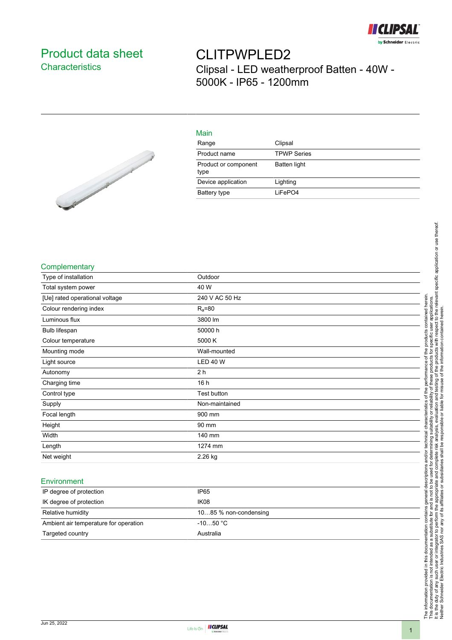

## Product data sheet **Characteristics**

# CLITPWPLED2 Clipsal - LED weatherproof Batten - 40W - 5000K - IP65 - 1200mm



| Main                         |                    |
|------------------------------|--------------------|
| Range                        | Clipsal            |
| Product name                 | <b>TPWP Series</b> |
| Product or component<br>type | Batten light       |
| Device application           | Lighting           |
| Battery type                 | LiFePO4            |

#### **Complementary**

| Type of installation           | Outdoor         |
|--------------------------------|-----------------|
| Total system power             | 40 W            |
| [Ue] rated operational voltage | 240 V AC 50 Hz  |
| Colour rendering index         | $R_a = 80$      |
| Luminous flux                  | 3800 lm         |
| Bulb lifespan                  | 50000 h         |
| Colour temperature             | 5000 K          |
| Mounting mode                  | Wall-mounted    |
| Light source                   | <b>LED 40 W</b> |
| Autonomy                       | 2 h             |
| Charging time                  | 16 h            |
| Control type                   | Test button     |
| Supply                         | Non-maintained  |
| Focal length                   | 900 mm          |
| Height                         | 90 mm           |
| Width                          | 140 mm          |
| Length                         | 1274 mm         |
| Net weight                     | 2.26 kg         |

#### Environment

| IP degree of protection               | IP <sub>65</sub>      |
|---------------------------------------|-----------------------|
| IK degree of protection               | IK <sub>08</sub>      |
| Relative humidity                     | 1085 % non-condensing |
| Ambient air temperature for operation | $-1050 °C$            |
| Targeted country                      | Australia             |